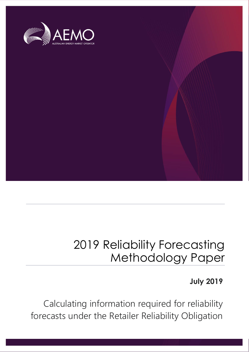

## 2019 Reliability Forecasting Methodology Paper

### **July 2019**

Calculating information required for reliability forecasts under the Retailer Reliability Obligation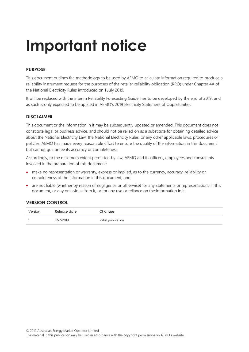# **Important notice**

### **PURPOSE**

This document outlines the methodology to be used by AEMO to calculate information required to produce a reliability instrument request for the purposes of the retailer reliability obligation (RRO) under Chapter 4A of the National Electricity Rules introduced on 1 July 2019.

It will be replaced with the Interim Reliability Forecasting Guidelines to be developed by the end of 2019, and as such is only expected to be applied in AEMO's 2019 Electricity Statement of Opportunities.

### **DISCLAIMER**

This document or the information in it may be subsequently updated or amended. This document does not constitute legal or business advice, and should not be relied on as a substitute for obtaining detailed advice about the National Electricity Law, the National Electricity Rules, or any other applicable laws, procedures or policies. AEMO has made every reasonable effort to ensure the quality of the information in this document but cannot guarantee its accuracy or completeness.

Accordingly, to the maximum extent permitted by law, AEMO and its officers, employees and consultants involved in the preparation of this document:

- make no representation or warranty, express or implied, as to the currency, accuracy, reliability or completeness of the information in this document; and
- are not liable (whether by reason of negligence or otherwise) for any statements or representations in this document, or any omissions from it, or for any use or reliance on the information in it.

### **VERSION CONTROL**

| Version | Release date | Changes             |
|---------|--------------|---------------------|
|         | 12/7/2019    | Initial publication |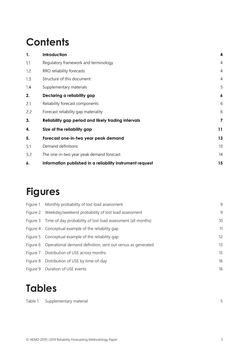### **Contents**

| 1.  | Introduction                                              | 4                |
|-----|-----------------------------------------------------------|------------------|
| 1.1 | Regulatory framework and terminology                      | $\overline{4}$   |
| 1.2 | RRO reliability forecasts                                 | $\overline{4}$   |
| 1.3 | Structure of this document                                | $\overline{4}$   |
| 1.4 | Supplementary materials                                   | 5                |
| 2.  | Declaring a reliability gap                               | $\boldsymbol{6}$ |
| 2.1 | Reliability forecast components                           | 6                |
| 2.2 | Forecast reliability gap materiality                      | 6                |
| 3.  | Reliability gap period and likely trading intervals       | 7                |
| 4.  | Size of the reliability gap                               | 11               |
| 5.  | Forecast one-in-two year peak demand                      | 13               |
| 5.1 | Demand definitions                                        | 13               |
| 5.2 | The one-in-two year peak demand forecast                  | 14               |
| 6.  | Information published in a reliability instrument request | 15               |

### **Figures**

| Figure 1 Monthly probability of lost load assessment                  | 9  |
|-----------------------------------------------------------------------|----|
| Figure 2 Weekday/weekend probability of lost load assessment          | 9  |
| Figure 3 Time of day probability of lost load assessment (all months) | 10 |
| Figure 4 Conceptual example of the reliability gap                    | 11 |
| Figure 5 Conceptual example of the reliability gap                    | 12 |
| Figure 6 Operational demand definition, sent out versus as generated  | 13 |
| Figure 7 Distribution of USE across months                            | 15 |
| Figure 8 Distribution of USE by time-of-day                           | 16 |
| Figure 9 Duration of USE events                                       | 16 |

### **Tables**

| Table 1 Supplementary material |  |
|--------------------------------|--|
|                                |  |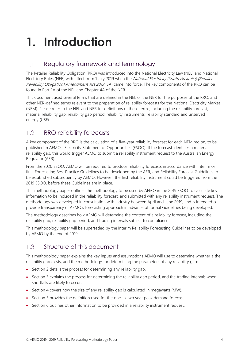# <span id="page-3-0"></span>**1. Introduction**

#### <span id="page-3-1"></span> $1.1$ Regulatory framework and terminology

The Retailer Reliability Obligation (RRO) was introduced into the National Electricity Law (NEL) and National Electricity Rules (NER) with effect from 1 July 2019 when the National Electricity (South Australia) (Retailer Reliability Obligation) Amendment Act 2019 (SA) came into force. The key components of the RRO can be found in Part 2A of the NEL and Chapter 4A of the NER.

This document used several terms that are defined in the NEL or the NER for the purposes of the RRO, and other NER-defined terms relevant to the preparation of reliability forecasts for the National Electricity Market (NEM). Please refer to the NEL and NER for definitions of these terms, including the reliability forecast, material reliability gap, reliability gap period, reliability instruments, reliability standard and unserved energy (USE).

#### <span id="page-3-2"></span> $12$ RRO reliability forecasts

A key component of the RRO is the calculation of a five-year reliability forecast for each NEM region, to be published in AEMO's Electricity Statement of Opportunities (ESOO). If the forecast identifies a material reliability gap, this would trigger AEMO to submit a reliability instrument request to the Australian Energy Regulator (AER).

From the 2020 ESOO, AEMO will be required to produce reliability forecasts in accordance with interim or final Forecasting Best Practice Guidelines to be developed by the AER, and Reliability Forecast Guidelines to be established subsequently by AEMO. However, the first reliability instrument could be triggered from the 2019 ESOO, before these Guidelines are in place.

This methodology paper outlines the methodology to be used by AEMO in the 2019 ESOO to calculate key information to be included in the reliability forecast, and submitted with any reliability instrument request. The methodology was developed in consultation with industry between April and June 2019, and is intendedto provide transparency of AEMO's forecasting approach in advance of formal Guidelines being developed.

The methodology describes how AEMO will determine the content of a reliability forecast, including the reliability gap, reliability gap period, and trading intervals subject to compliance.

This methodology paper will be superseded by the Interim Reliability Forecasting Guidelines to be developed by AEMO by the end of 2019.

#### <span id="page-3-3"></span> $13$ Structure of this document

This methodology paper explains the key inputs and assumptions AEMO will use to determine whether a the reliability gap exists, and the methodology for determining the parameters of any reliability gap:

- Sectio[n 2](#page-5-0) details the process for determining any reliability gap.
- Section 3 explains the process for determining the reliability gap period, and the trading intervals when shortfalls are likely to occur.
- Section 4 covers how the size of any reliability gap is calculated in megawatts (MW).
- Section 5 provides the definition used for the one-in-two year peak demand forecast.
- Section 6 outlines other information to be provided in a reliability instrument request.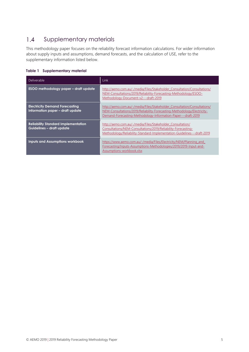#### <span id="page-4-0"></span> $1.4$ Supplementary materials

This methodology paper focuses on the reliability forecast information calculations. For wider information about supply inputs and assumptions, demand forecasts, and the calculation of USE, refer to the supplementary information listed below.

### <span id="page-4-1"></span>**Table 1 Supplementary material**

| <b>Deliverable</b>                                                        | Link                                                                                                                                                                                                                 |
|---------------------------------------------------------------------------|----------------------------------------------------------------------------------------------------------------------------------------------------------------------------------------------------------------------|
| ESOO methodology paper - draft update                                     | http://aemo.com.au/-/media/Files/Stakeholder Consultation/Consultations/<br>NEM-Consultations/2019/Reliability-Forecasting-Methodology/ESOO-<br>Methodology-Document-v2---draft-2019                                 |
| <b>Electricity Demand Forecasting</b><br>Information paper - draft update | http://aemo.com.au/-/media/Files/Stakeholder Consultation/Consultations/<br>NEM-Consultations/2019/Reliability-Forecasting-Methodology/Electricity-<br>Demand-Forecasting-Methodology-Information-Paper---draft-2019 |
| <b>Reliability Standard Implementation</b><br>Guidelines - draft update   | http://aemo.com.au/-/media/Files/Stakeholder Consultation/<br>Consultations/NEM-Consultations/2019/Reliability-Forecasting-<br>Methodology/Reliability-Standard-Implementation-Guidelines---draft-2019               |
| <b>Inputs and Assumptions workbook</b>                                    | https://www.aemo.com.au/-/media/Files/Electricity/NEM/Planning and<br>Forecasting/Inputs-Assumptions-Methodologies/2019/2019-Input-and-<br>Assumptions-workbook.xlsx                                                 |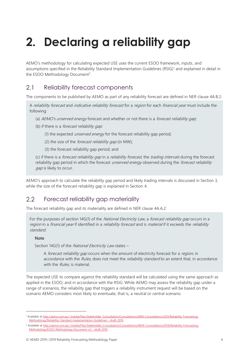# <span id="page-5-0"></span>**2. Declaring a reliability gap**

AEMO's methodology for calculating expected USE uses the current ESOO framework, inputs, and assumptions specified in the Reliability Standard Implementation Guidelines (RSIG)<sup>1</sup> and explained in detail in the ESOO Methodology Document<sup>2</sup>.

#### <span id="page-5-1"></span> $2.1$ Reliability forecast components

The components to be published by AEMO as part of any reliability forecast are defined in NER clause 4A.B.2:

A reliability forecast and indicative reliability forecast for a region for each financial year must include the following:

- (a) AEMO's unserved energy forecast and whether or not there is a forecast reliability gap;
- (b) if there is a *forecast reliability gap*:
	- (1) the expected *unserved energy* for the forecast reliability gap period;
	- (2) the size of the *forecast reliability gap* (in MW);
	- (3) the forecast reliability gap period; and

(c) if there is a *forecast reliability gap* in a *reliability forecast*, the *trading intervals* during the forecast reliability gap period in which the forecast *unserved energy* observed during the *forecast reliability* gap is likely to occur.

AEMO's approach to calculate the reliability gap period and likely trading intervals is discussed in Section [3,](#page-6-0) while the size of the forecast reliability gap is explained in Section [4.](#page-10-0)

#### <span id="page-5-2"></span>22 Forecast reliability gap materiality

The forecast reliability gap and its materiality are defined in NER clause 4A.A.2:

For the purposes of section 14G(1) of the *National Electricity Law*, a *forecast reliability gap* occurs in a region in a financial year if identified in a reliability forecast and is material if it exceeds the reliability standard.

### **Note**

 $\overline{a}$ 

Section 14G(1) of the National Electricity Law states -

A forecast reliability gap occurs when the amount of electricity forecast for a region, in accordance with the Rules, does not meet the reliability standard to an extent that, in accordance with the *Rules*, is material.

The expected USE to compare against the reliability standard will be calculated using the same approach as applied in the ESOO, and in accordance with the RSIG. While AEMO may assess the reliability gap under a range of scenarios, the reliability gap that triggers a reliability instrument request will be based on the scenario AEMO considers most likely to eventuate, that is, a neutral or central scenario.

<sup>1</sup> Available a[t http://aemo.com.au/-/media/Files/Stakeholder\\_Consultation/Consultations/NEM-Consultations/2019/Reliability-Forecasting-](http://aemo.com.au/-/media/Files/Stakeholder_Consultation/Consultations/NEM-Consultations/2019/Reliability-Forecasting-Methodology/Reliability-Standard-Implementation-Guidelines---draft-2019)[Methodology/Reliability-Standard-Implementation-Guidelines---draft-2019.](http://aemo.com.au/-/media/Files/Stakeholder_Consultation/Consultations/NEM-Consultations/2019/Reliability-Forecasting-Methodology/Reliability-Standard-Implementation-Guidelines---draft-2019) 

<sup>&</sup>lt;sup>2</sup> Available at [http://aemo.com.au/-/media/Files/Stakeholder\\_Consultation/Consultations/NEM-Consultations/2019/Reliability-Forecasting-](http://aemo.com.au/-/media/Files/Stakeholder_Consultation/Consultations/NEM-Consultations/2019/Reliability-Forecasting-Methodology/ESOO-Methodology-Document-v2---draft-2019)[Methodology/ESOO-Methodology-Document-v2---draft-2019.](http://aemo.com.au/-/media/Files/Stakeholder_Consultation/Consultations/NEM-Consultations/2019/Reliability-Forecasting-Methodology/ESOO-Methodology-Document-v2---draft-2019)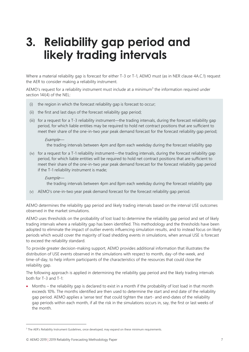# <span id="page-6-0"></span>**3. Reliability gap period and likely trading intervals**

Where a material reliability gap is forecast for either T-3 or T-1, AEMO must (as in NER clause 4A.C.1) request the AER to consider making a reliability instrument.

AEMO's request for a reliability instrument must include at a minimum<sup>3</sup> the information required under section 14I(4) of the NEL:

- (i) the region in which the forecast reliability gap is forecast to occur;
- (ii) the first and last days of the forecast reliability gap period;
- (iii) for a request for a T-3 reliability instrument—the trading intervals, during the forecast reliability gap period, for which liable entities may be required to hold net contract positions that are sufficient to meet their share of the one-in-two year peak demand forecast for the forecast reliability gap period;

#### Example—

the trading intervals between 4pm and 8pm each weekday during the forecast reliability gap

(iv) for a request for a T-1 reliability instrument—the trading intervals, during the forecast reliability gap period, for which liable entities will be required to hold net contract positions that are sufficient to meet their share of the one-in-two year peak demand forecast for the forecast reliability gap period if the T-1 reliability instrument is made;

### Example—

the trading intervals between 4pm and 8pm each weekday during the forecast reliability gap

(v) AEMO's one-in-two year peak demand forecast for the forecast reliability gap period.

AEMO determines the reliability gap period and likely trading intervals based on the interval USE outcomes observed in the market simulations.

AEMO uses thresholds on the probability of lost load to determine the reliability gap period and set of likely trading intervals where a reliability gap has been identified. This methodology and the thresholds have been adopted to eliminate the impact of outlier events influencing simulation results, and to instead focus on likely periods which would cover the majority of load shedding events in simulations, when annual USE is forecast to exceed the reliability standard.

To provide greater decision-making support, AEMO provides additional information that illustrates the distribution of USE events observed in the simulations with respect to month, day-of-the-week, and time-of-day, to help inform participants of the characteristics of the resources that could close the reliability gap.

The following approach is applied in determining the reliability gap period and the likely trading intervals both for T-3 and T-1:

• Months – the reliability gap is declared to exist in a month if the probability of lost load in that month exceeds 10%. The months identified are then used to determine the start and end date of the reliability gap period. AEMO applies a 'sense test' that could tighten the start- and end-dates of the reliability gap periods within each month, if all the risk in the simulations occurs in, say, the first or last weeks of the month.

 $\overline{a}$ 

<sup>&</sup>lt;sup>3</sup> The AER's Reliability Instrument Guidelines, once developed, may expand on these minimum requirements.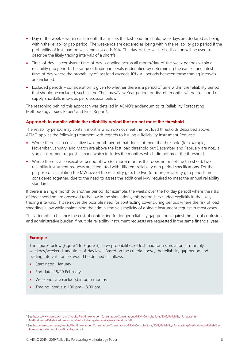- Day of the week within each month that meets the lost load threshold, weekdays are declared as being within the reliability gap period. The weekends are declared as being within the reliability gap period if the probability of lost load on weekends exceeds 10%. The day-of-the-week classification will be used to describe the likely trading intervals of a shortfall.
- Time-of-day a consistent time-of-day is applied across all month/day-of-the-week periods within a reliability gap period. The range of trading intervals is identified by determining the earliest and latest time-of-day where the probability of lost load exceeds 10%. All periods between these trading intervals are included.
- Excluded periods consideration is given to whether there is a period of time within the reliability period that should be excluded, such as the Christmas/New Year period, or discrete months where likelihood of supply shortfalls is low, as per discussion below.

The reasoning behind this approach was detailed in AEMO's addendum to its Reliability Forecasting Methodology Issues Paper $4$  and Final Report<sup>5</sup>.

### **Approach to months within the reliability period that do not meet the threshold**

The reliability period may contain months which do not meet the lost load thresholds described above. AEMO applies the following treatment with regards to issuing a Reliability Instrument Request:

- Where there is no consecutive two-month period that does not meet the threshold (for example, November, January, and March are above the lost load threshold but December and February are not), a single instrument request is made which includes the month/s which did not meet the threshold.
- Where there is a consecutive period of two (or more) months that does not meet the threshold, two reliability instrument requests are submitted with different reliability gap period specifications. For the purpose of calculating the MW size of the reliability gap, the two (or more) reliability gap periods are considered together, due to the need to assess the additional MW required to meet the annual reliability standard.

If there is a single month or another period (for example, the weeks over the holiday period) where the risks of load shedding are observed to be low in the simulations, this period is excluded explicitly in the likely trading intervals. This removes the possible need for contracting cover during periods where the risk of load shedding is low while maintaining the administrative simplicity of a single instrument request in most cases.

This attempts to balance the cost of contracting for longer reliability gap periods against the risk of confusion and administrative burden if multiple reliability instrument requests are requested in the same financial year.

### **Example**

 $\overline{a}$ 

The figures below (Figure 1 to Figure 3) show probabilities of lost load for a simulation at monthly, weekday/weekend, and time-of-day level. Based on the criteria above, the reliability gap period and trading intervals for T-3 would be defined as follows:

- Start date: 1 January.
- End date: 28/29 February.
- Weekends are excluded in both months.
- Trading intervals: 1.00 pm 8.00 pm.

<sup>4</sup> Se[e https://www.aemo.com.au/-/media/Files/Stakeholder\\_Consultation/Consultations/NEM-Consultations/2019/Reliability-Forecasting-](https://www.aemo.com.au/-/media/Files/Stakeholder_Consultation/Consultations/NEM-Consultations/2019/Reliability-Forecasting-Methodology/Reliability-Forecasting-Metholodology-Issues-Paper-addendum.pdf)[Methodology/Reliability-Forecasting-Metholodology-Issues-Paper-addendum.pdf.](https://www.aemo.com.au/-/media/Files/Stakeholder_Consultation/Consultations/NEM-Consultations/2019/Reliability-Forecasting-Methodology/Reliability-Forecasting-Metholodology-Issues-Paper-addendum.pdf)

<sup>5</sup> Se[e http://aemo.com.au/-/media/Files/Stakeholder\\_Consultation/Consultations/NEM-Consultations/2019/Reliability-Forecasting-Methodology/Reliability-](http://aemo.com.au/-/media/Files/Stakeholder_Consultation/Consultations/NEM-Consultations/2019/Reliability-Forecasting-Methodology/Reliability-Forecasting-Methodology-Final-Report.pdf)[Forecasting-Methodology-Final-Report.pdf](http://aemo.com.au/-/media/Files/Stakeholder_Consultation/Consultations/NEM-Consultations/2019/Reliability-Forecasting-Methodology/Reliability-Forecasting-Methodology-Final-Report.pdf)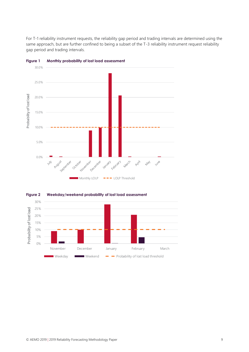For T-1 reliability instrument requests, the reliability gap period and trading intervals are determined using the same approach, but are further confined to being a subset of the T-3 reliability instrument request reliability gap period and trading intervals.



<span id="page-8-0"></span>**Figure 1 Monthly probability of lost load assessment**



<span id="page-8-1"></span>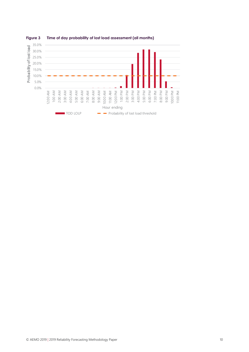

### <span id="page-9-0"></span>**Figure 3 Time of day probability of lost load assessment (all months)**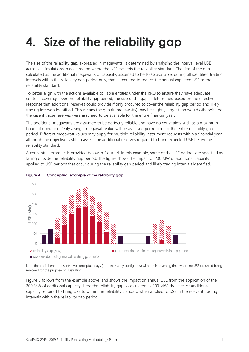# <span id="page-10-0"></span>**4. Size of the reliability gap**

The size of the reliability gap, expressed in megawatts, is determined by analysing the interval level USE across all simulations in each region where the USE exceeds the reliability standard. The size of the gap is calculated as the additional megawatts of capacity, assumed to be 100% available, during all identified trading intervals within the reliability gap period only, that is required to reduce the annual expected USE to the reliability standard.

To better align with the actions available to liable entities under the RRO to ensure they have adequate contract coverage over the reliability gap period, the size of the gap is determined based on the effective response that additional reserves could provide if only procured to cover the reliability gap period and likely trading intervals identified. This means the gap (in megawatts) may be slightly larger than would otherwise be the case if those reserves were assumed to be available for the entire financial year.

The additional megawatts are assumed to be perfectly reliable and have no constraints such as a maximum hours of operation. Only a single megawatt value will be assessed per region for the entire reliability gap period. Different megawatt values may apply for multiple reliability instrument requests within a financial year, although the objective is still to assess the additional reserves required to bring expected USE below the reliability standard.

A conceptual example is provided below in [Figure 4.](#page-10-1) In this example, some of the USE periods are specified as falling outside the reliability gap period. The figure shows the impact of 200 MW of additional capacity applied to USE periods that occur during the reliability gap period and likely trading intervals identified.



### <span id="page-10-1"></span>**Figure 4 Conceptual example of the reliability gap**

Note the x axis here represents two conceptual days (not necessarily contiguous) with the intervening time where no USE occurred being removed for the purpose of illustration.

[Figure 5](#page-11-0) follows from the example above, and shows the impact on annual USE from the application of the 200 MW of additional capacity. Here the reliability gap is calculated as 200 MW, the level of additional capacity required to bring USE to within the reliability standard when applied to USE in the relevant trading intervals within the reliability gap period.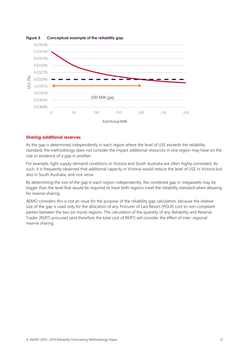<span id="page-11-0"></span>

### **Sharing additional reserves**

As the gap is determined independently in each region where the level of USE exceeds the reliability standard, the methodology does not consider the impact additional resources in one region may have on the size or existence of a gap in another.

For example, tight supply-demand conditions in Victoria and South Australia are often highly correlated. As such, it is frequently observed that additional capacity in Victoria would reduce the level of USE in Victoria but also in South Australia, and vice versa.

By determining the size of the gap in each region independently, the combined gap in megawatts may be bigger than the level that would be required to have both regions meet the reliability standard when allowing for reserve sharing.

AEMO considers this is not an issue for the purpose of the reliability gap calculation, because the relative size of the gap is used only for the allocation of any Procurer of Last Resort (POLR) cost to non-compliant parties between the two (or more) regions. The calculation of the quantity of any Reliability and Reserve Trader (RERT) procured (and therefore the total cost of RERT) will consider the effect of inter-regional reserve sharing.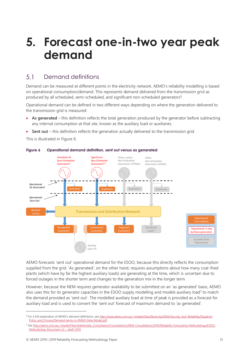### <span id="page-12-0"></span>**5. Forecast one-in-two year peak demand**

#### <span id="page-12-1"></span> $5<sub>1</sub>$ Demand definitions

Demand can be measured at different points in the electricity network. AEMO's reliability modelling is based on operational consumption/demand. This represents demand delivered from the transmission grid as produced by all scheduled, semi-scheduled, and significant non-scheduled generators<sup>6</sup>.

Operational demand can be defined in two different ways depending on where the generation delivered to the transmission grid is measured:

- **As generated** this definition reflects the total generation produced by the generator before subtracting any internal consumption at that site, known as the auxiliary load or auxiliaries.
- **Sent out** this definition reflects the generation actually delivered to the transmission grid.

This is illustrated in [Figure 6.](#page-12-2)



### <span id="page-12-2"></span>**Figure 6 Operational demand definition, sent out versus as generated**

AEMO forecasts 'sent out' operational demand for the ESOO, because this directly reflects the consumption supplied from the grid. 'As generated', on the other hand, requires assumptions about how many coal-fired plants (which have by far the highest auxiliary loads) are generating at the time, which is uncertain due to forced outages in the shorter term and changes to the generation mix in the longer term.

However, because the NEM requires generator availability to be submitted on an 'as generated' basis, AEMO also uses this for its generator capacities in the ESOO supply modelling and models auxiliary load<sup>7</sup> to match the demand provided as 'sent out'. The modelled auxiliary load at time of peak is provided as a forecast for auxiliary load and is used to convert the 'sent out' forecast of maximum demand to 'as generated'.

 $\overline{a}$ 

<sup>&</sup>lt;sup>6</sup> For a full explanation of AEMO's demand definitions, see [http://www.aemo.com.au/-/media/Files/Electricity/NEM/Security\\_and\\_Reliability/Dispatch/](http://www.aemo.com.au/-/media/Files/Electricity/NEM/Security_and_Reliability/Dispatch/Policy_and_Process/Demand-terms-in-EMMS-Data-Model.pdf) [Policy\\_and\\_Process/Demand-terms-in-EMMS-Data-Model.pdf.](http://www.aemo.com.au/-/media/Files/Electricity/NEM/Security_and_Reliability/Dispatch/Policy_and_Process/Demand-terms-in-EMMS-Data-Model.pdf)

<sup>7</sup> Se[e http://aemo.com.au/-/media/Files/Stakeholder\\_Consultation/Consultations/NEM-Consultations/2019/Reliability-Forecasting-Methodology/ESOO-](http://aemo.com.au/-/media/Files/Stakeholder_Consultation/Consultations/NEM-Consultations/2019/Reliability-Forecasting-Methodology/ESOO-Methodology-Document-v2---draft-2019)[Methodology-Document-v2---draft-2019.](http://aemo.com.au/-/media/Files/Stakeholder_Consultation/Consultations/NEM-Consultations/2019/Reliability-Forecasting-Methodology/ESOO-Methodology-Document-v2---draft-2019)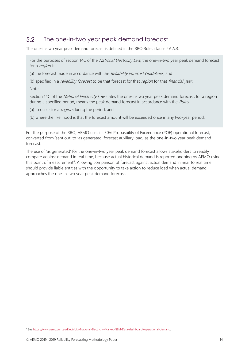#### <span id="page-13-0"></span>5.2 The one-in-two year peak demand forecast

The one-in-two year peak demand forecast is defined in the RRO Rules clause 4A.A.3:

For the purposes of section 14C of the National Electricity Law, the one-in-two year peak demand forecast for a *region* is:

(a) the forecast made in accordance with the Reliability Forecast Guidelines, and

(b) specified in a *reliability forecast* to be that forecast for that *region* for that *financial year*.

Note

Section 14C of the National Electricity Law states the one-in-two year peak demand forecast, for a region during a specified period, means the peak demand forecast in accordance with the  $Rules -$ 

(a) to occur for a *region* during the period; and

(b) where the likelihood is that the forecast amount will be exceeded once in any two-year period.

For the purpose of the RRO, AEMO uses its 50% Probasbility of Exceedance (POE) operational forecast, converted from 'sent out' to 'as generated' forecast auxiliary load, as the one-in-two year peak demand forecast.

The use of 'as generated' for the one-in-two year peak demand forecast allows stakeholders to readily compare against demand in real time, because actual historical demand is reported ongoing by AEMO using this point of measurement<sup>8</sup>. Allowing comparison of forecast against actual demand in near to real time should provide liable entities with the opportunity to take action to reduce load when actual demand approaches the one-in-two year peak demand forecast.

 $\overline{a}$ 

<sup>8</sup> Se[e https://www.aemo.com.au/Electricity/National-Electricity-Market-NEM/Data-dashboard#operational-demand.](https://www.aemo.com.au/Electricity/National-Electricity-Market-NEM/Data-dashboard#operational-demand)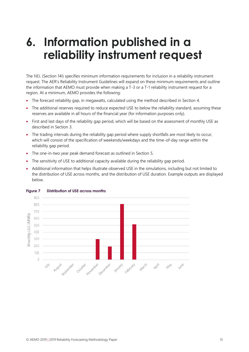## <span id="page-14-0"></span>**6. Information published in a reliability instrument request**

The NEL (Section 14I) specifies minimum information requirements for inclusion in a reliability instrument request. The AER's Reliability Instrument Guidelines will expand on these minimum requirements and outline the information that AEMO must provide when making a T-3 or a T-1 reliability instrument request for a region. At a minimum, AEMO provides the following:

- The forecast reliability gap, in megawatts, calculated using the method described in Section [4.](#page-10-0)
- The additional reserves required to reduce expected USE to below the reliability standard, assuming these reserves are available in all hours of the financial year (for information purposes only).
- First and last days of the reliability gap period, which will be based on the assessment of monthly USE as described in Section [3.](#page-6-0)
- The trading intervals during the reliability gap period where supply shortfalls are most likely to occur, which will consist of the specification of weekends/weekdays and the time-of-day range within the reliability gap period.
- The one-in-two year peak demand forecast as outlined in Section [5.](#page-12-0)
- The sensitivity of USE to additional capacity available during the reliability gap period.
- Additional information that helps illustrate observed USE in the simulations, including but not limited to the distribution of USE across months, and the distribution of USE duration. Example outputs are displayed below.



### <span id="page-14-1"></span>**Figure 7 Distribution of USE across months**